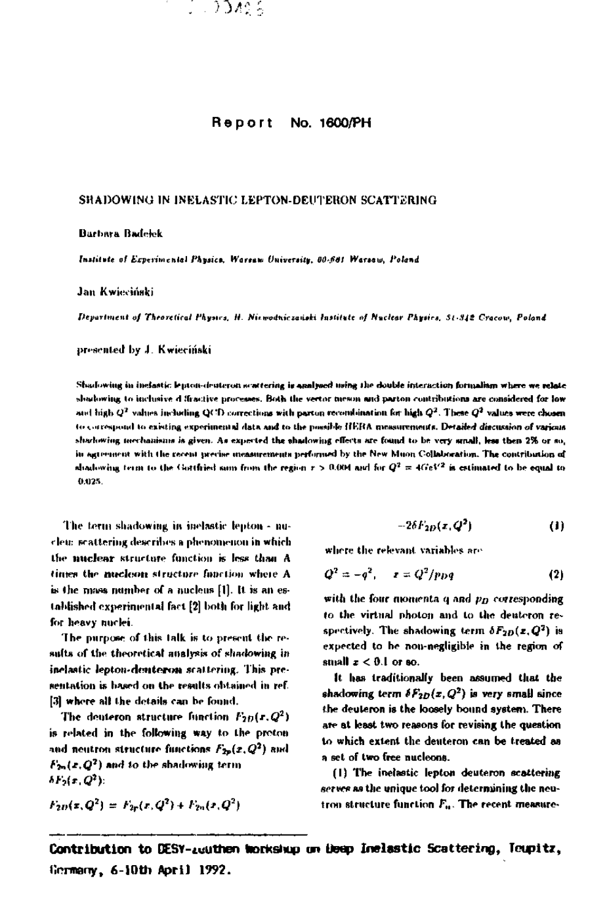

## Report No. 1600/PH

### SHADOWING IN INELASTIC LEPTON-DEUTERON SCATTERING

#### Barbara Badelek

Institute of Experimental Physics, Warsaw University, 80-681 Warsaw, Poland

#### Jan Kwieciński

Department of Theoretical Physics, H. Nixwodniczański Institute of Nuclear Physics, St-342 Cracow, Poland

presented by J. Kwieciński

Shadowing in instatic lepton-deuteron scattering is analysed using the double interaction formaliam where we relate shadowing to inclusive diffractive processes. Both the vertor mewon and parton contributions are considered for low and high  $Q^2$  values including QCD corrections with parton recombination for high  $Q^2$ . These  $Q^2$  values were chosen to correspond to existing experimental data and to the possible HERA measurements. Detailed discussion of various sharkoving mechanisms is given. As expected the shadowing effects are found to be very small, less then 2% or so, in agreement with the recent precise measurements performed by the New Muon Collaboration. The contribution of shadowing term to the Gottfried sum from the region  $r > 0.004$  and for  $Q^2 = 4 GeV^2$  is estimated to be equal to 0.025

The term shadowing in inelastic lepton - nucleu: scattering describes a phenomenon in which the nuclear structure function is less than A times the mucleon structure function where A is the mass number of a nucleus [1]. It is an established experimental fact [2] both for light and for heavy nuclei.

The purpose of this talk is to present the results of the theoretical analysis of shadowing in inclastic lepton-denteron scattering. This presentation is based on the results obtained in ref. [3] where all the details can be found.

The deuteron structure function  $F_{2D}(x,Q^2)$ is related in the following way to the proton and neutron structure functions  $F_{2p}(x,Q^2)$  and  $F_{2n}(x,Q^2)$  and to the shadowing term  $\delta F_2(x,Q^2)$ :

$$
F_{2D}(x,Q^2) = F_{2P}(x,Q^2) + F_{2P}(x,Q^2)
$$

$$
-2\delta F_{2D}(x,Q^2) \tag{1}
$$

where the relevant variables are

$$
Q^2=-q^2, \quad z=Q^2/ppq \qquad (2)
$$

with the four momenta  $q$  and  $p_D$  corresponding to the virtual photon and to the deuteron respectively. The shadowing term  $\delta F_{2D}(x,Q^2)$  is expected to be non-negligible in the region of small  $z < 0.1$  or so.

It has traditionally been assumed that the shadowing term  $\delta F_{2D}(x,Q^2)$  is very small since the deuteron is the loosely bound system. There are at least two reasons for revising the question to which extent the deuteron can be treated as a set of two free nucleons.

(1) The inelastic lepton deuteron scattering serves as the unique tool for determining the neutron structure function F<sub>u</sub>. The recent measure-

Contribution to DESY-zuuthen Workshup un Deep Inelastic Scattering, Teupitz, Germany, 6-10th April 1992.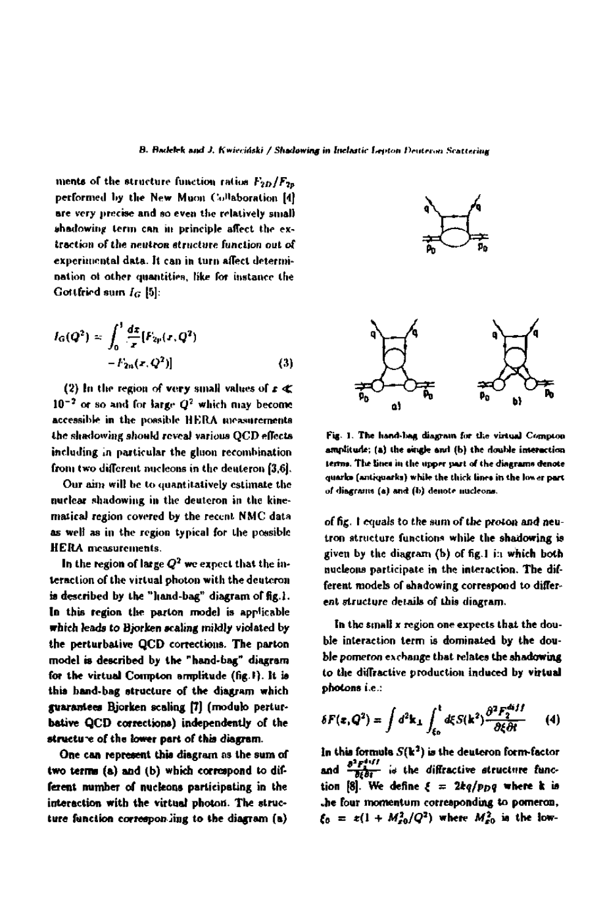**mente of the structure function ratios performed by the New Muon Collaboration [4] are very precise and so even the relatively small uhadowinp term can in principle affect the ex tract ion of the neutron structure function out of experimental data. It can in turn affect determi nation ot other quantities, like for instance the Gottfried sum** *la* **[5]:** 

$$
I_G(Q^2) \approx \int_0^1 \frac{dx}{x} [F_{2p}(x, Q^2) - F_{2n}(x, Q^2)] \tag{3}
$$

(2) In the region of very small values of  $x \notin \mathbb{Z}$ **10"<sup>2</sup> or so and for large** *Q<sup>7</sup>*  **which may become accessible in the possible HERA measurements the shadowing should reveal various QCD effects including in particular the gluon recombination from two different nucleons in the dculeron [3,6].** 

**Our aim will be to quantitatively estimate the nuclear shadowing in the deuteron in the kinematical region covered by the recent. NMC data as well as in the region typical for the possible HERA measurements.** 

**In the region of large**  $\boldsymbol{Q^2}$  **we expect that the interaction of the virtual photon with thedeuteron is described by the "hand-bag" diagram of fig. 1. In this region the parton model is applicable which leads to Bjorken scaling mildly violated by the perturbative QCD corrections. The parton model is described by the "hand-bag" diagram for the virtual Compton amplitude (fig.I). It is this hand-bag structure of the diagram which guarantees Bjorken scaling [7] (modulo pertur bative QCD corrections) independently of the structure of the lower part of this diagram.** 

One can represent this diagram as the sum of two **terms (a) and** (b) which correspond to dif ferent number of nucleons participating in the interaction with the virtual photon. The structure function corresponding to the diagram  $(a)$ 





**Fig. I. The hand-bag diagram for the virtual Compton amplitude; (s) the «ingle and (b) the double interaction**  terms. The lines in the upper part of the diagrams denote **quarka (anliquarka) while the thirk linn in the ln«er part of diagrams (a) and (b) denote nucleonn.** 

of fig. I equals to the sum of the proton and neutron structure functions while the shadowing is given by the diagram (b) of fig. I i:i which both nucleons participate in the interaction. The different models of shadowing correspond to different structure details of this diagram.

In the small x region one expects that the double interaction term is dominated by the double pomeron exchange that relates the shadowing to the diffractive production induced by virtual photons i.e.:

$$
\delta F(\mathbf{z}, \mathbf{Q}^2) = \int d^2 \mathbf{k}_\perp \int_{\xi_0}^1 d\xi S(\mathbf{k}^2) \frac{\partial^2 F_2^{diff}}{\partial \xi \partial t} \qquad (4)
$$

In this formula  $S({\bf k^2})$  is the deuteron form-factor. and  $\frac{\partial^2 F^{(1)}_{\text{max}}}{\partial t^2}$  is the diffractive structure function [8]. We define  $\xi = 2kq/p_{D}q$  where k is .he four momentum corresponding to pomeron,  $\xi_0 = z(1 + M_{\varepsilon 0}^2/Q^2)$  where  $M_{\varepsilon 0}^2$  is the low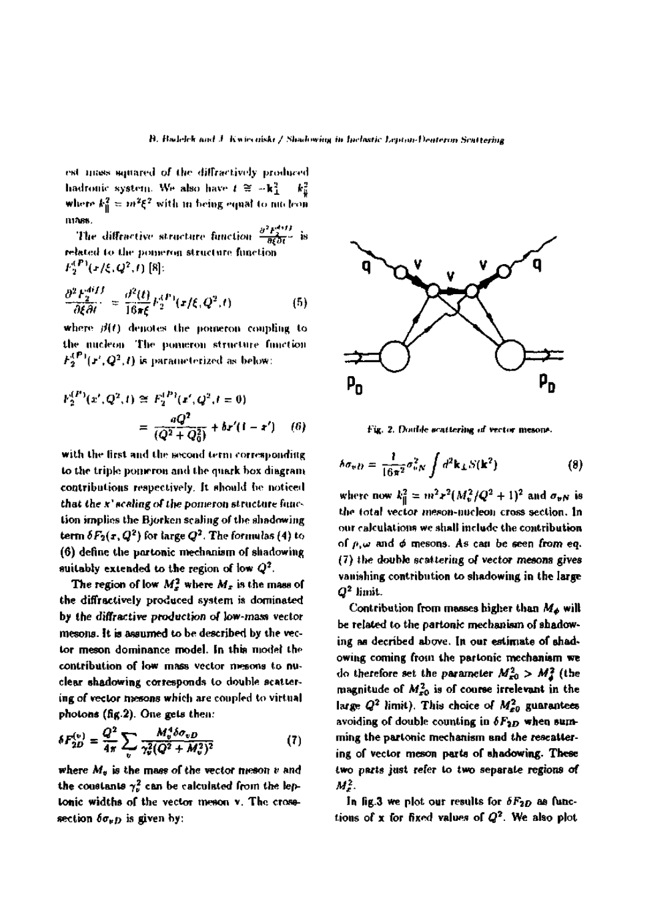est mass squared of the diffractively produced hadronic system. We also have  $t \approx -k_1^2$ where  $k_0^2 = m^2 \xi^2$  with in being equal to nin leon 111265.

The diffractive structure function  $\frac{\partial^2 F_2^{(eff)}}{\partial \xi \partial t^\perp}$  is related to the pomeron structure function  $F_2^{(P)}(x/\xi,Q^2,t)$  [8]:

$$
\frac{\partial^2 F_2^{diff}}{\partial \xi \partial t} = \frac{\partial^2(t)}{16\pi \xi} F_2^{(P)}(x/\xi, Q^2, t) \tag{5}
$$

where  $\beta(t)$  denotes the pomeron coupling to the nucleon. The pomeron structure function  $F_2^{(P)}(\mathbf{r}',\mathbf{Q}^2,t)$  is parameterized as below:

$$
F_2^{(P)}(x', Q^2, t) \cong F_2^{(P)}(x', Q^2, t = 0)
$$
  
= 
$$
\frac{qQ^2}{(Q^2 + Q_0^2)} + br'(1 - x')
$$
 (6)

with the first and the second term corresponding to the triple pomeron and the quark box diagram contributions respectively. It should be noticed that the x' scaling of the pomeron structure function implies the Bjorken scaling of the shadowing term  $\delta F_2(x,Q^2)$  for large  $Q^2$ . The formulas (4) to (6) define the partonic mechanism of shadowing suitably extended to the region of low  $Q^2$ .

The region of low  $M_x^2$  where  $M_x$  is the mass of the diffractively produced system is dominated by the diffractive production of low-mass vector mesons. It is assumed to be described by the vector meson dominance model. In this model the contribution of low mass vector mesons to nuclear shadowing corresponds to double scattering of vector mesons which are coupled to virtual photons (fig.2). One gets then:

$$
\delta F_{2D}^{(v)} = \frac{Q^2}{4\pi} \sum_{v} \frac{M_v^4 \delta \sigma_{vD}}{\gamma_v^2 (Q^2 + M_v^2)^2}
$$
(7)

where  $M_{\theta}$  is the mass of the vector meson  $v$  and the constants  $\gamma_v^2$  can be calculated from the leptonic widths of the vector meson v. The crosssection  $\delta \sigma_{\nu D}$  is given by:



Fig. 2. Double scattering of vector mesons.

$$
\delta \sigma_{v} D = \frac{1}{16\pi^2} \sigma_{vN}^2 \int d^2 \mathbf{k}_\perp S(\mathbf{k}^2)
$$
 (8)

where now  $k_0^2 = m^2 r^2 (M_v^2/Q^2 + 1)^2$  and  $\sigma_{vN}$  is the total vector meson-nucleon cross section. In our calculations we shall include the contribution of  $\rho$ ,  $\omega$  and  $\phi$  mesons. As can be seen from eq.  $(7)$  the double scattering of vector mesons gives vanishing contribution to shadowing in the large  $Q^2$  limit.

Contribution from masses higher than  $M_{\phi}$  will be related to the partonic mechanism of shadowing as decribed above. In our estimate of shadowing coming from the partonic mechanism we do therefore set the parameter  $M_{x0}^2 > M_{\tilde{d}}^2$  (the magnitude of  $M_{x0}^2$  is of course irrelevant in the large  $Q^2$  limit). This choice of  $M_{z0}^2$  guarantees avoiding of double counting in  $\delta F_{2D}$  when summing the partonic mechanism and the rescattering of vector meson parts of shadowing. These two parts just refer to two separate regions of  $M^2$ .

In fig.3 we plot our results for  $\delta F_{2D}$  as functions of x for fixed values of  $Q^2$ . We also plot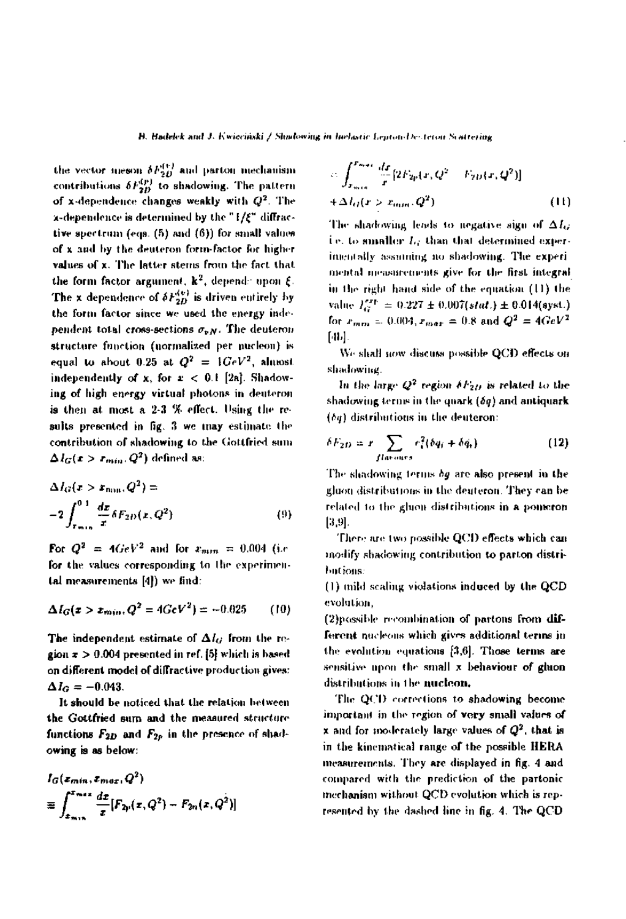the vector meson  $\delta F_{2D}^{(v)}$  and parton mechanism contributions  $\delta F_{2B}^{(p)}$  to shadowing. The pattern of x-dependence changes weakly with  $Q^2$ . The  $\lambda$ -dependence is determined by the " $1/\xi$ " diffractive spectrum (eqs. (5) and (6)) for small values of x and by the deuteron form-factor for higher values of x. The latter stems from the fact that the form factor argument,  $k^2$ , depends upon  $\xi$ . The x dependence of  $\delta F_{2D}^{(v)}$  is driven entirely by the form factor since we used the energy independent total cross-sections  $\sigma_{vN}$ . The deuteron structure function (normalized per nucleon) is equal to about 0.25 at  $Q^2 = 1 GeV^2$ , almost independently of x, for  $x < 0.1$  [2a]. Shadowing of high energy virtual photons in deuteron is then at most a 2-3 % effect. Using the results presented in fig. 3 we may estimate the contribution of shadowing to the Gottfried sum  $\Delta I_G(x > r_{min}, Q^2)$  defined as:

$$
\Delta I_G(x > x_{\text{min}}, Q^2) =
$$
  
-2
$$
\int_{x_{\text{min}}}^{0.1} \frac{dx}{x} \delta F_{2D}(x, Q^2)
$$
 (9)

For  $Q^2 = 4 GeV^2$  and for  $x_{min} = 0.004$  (i.e. for the values corresponding to the experimental measurements [4]) we find:

$$
\Delta I_G(z > z_{min}, Q^2 = 4 GeV^2) = -0.025 \qquad (10)
$$

The independent estimate of  $\Delta l_G$  from the region  $\tau > 0.004$  presented in ref. [5] which is based on different model of diffractive production gives:  $\Delta I_G = -0.043.$ 

It should be noticed that the relation between the Gottfried sum and the measured structure functions  $F_{2D}$  and  $F_{2p}$  in the presence of shadowing is as below:

$$
I_G(z_{min}, z_{max}, Q^2)
$$
  
\n
$$
\equiv \int_{z_{min}}^{z_{max}} \frac{dz}{z} [F_{2p}(z, Q^2) - F_{2n}(z, Q^2)]
$$

$$
c_1 \int_{x_{min}}^{x_{max}} \frac{dx}{x} [2F_{2p}(x, Q^2 - F_{2D}(x, Q^2))]
$$
  
+ 
$$
\Delta I_G(x > x_{min}, Q^2)
$$
 (11)

The shadowing leads to negative sign of  $\Delta L$ . i.e. to smaller L; than that determined experimentally assuming no shadowing. The experimental measurements give for the first integral in the right hand side of the equation (11) the value  $I_G^{exp} = 0.227 \pm 0.007(stat.) \pm 0.014(syst.)$ for  $x_{min} = 0.004$ ,  $x_{max} = 0.8$  and  $Q^2 = 4 GeV^2$ [4],[

We shall now discuss possible QCD effects on shadowing.

In the large  $Q^2$  region  $\delta F_{2D}$  is related to the shadowing terms in the quark  $(\delta q)$  and antiquark  $(bq)$  distributions in the deuteron:

$$
\delta F_{2D} = r \sum_{flavors} r_i^2 (\delta q_i + \delta \dot{q}_i)
$$
 (12)

The shadowing terms *bg* are also present in the gluon distributions in the deuteron. They can be related to the gluon distributions in a pomeron  $[3,9]$ .

There are two possible QCD effects which can modify shadowing contribution to parton distributions:

(1) mild scaling violations induced by the QCD evolution,

(2) possible recombination of partons from different nucleons which gives additional terms in the evolution equations  $[3,6]$ . Those terms are sensitive upon the small x behaviour of gluon distributions in the nucleon.

The QCD corrections to shadowing become important in the region of very small values of **x** and for moderately large values of  $Q^2$ , that is in the kinematical range of the possible HERA measurements. They are displayed in fig. 4 and compared with the prediction of the partonic mechanism without QCD evolution which is reptesented by the dashed line in fig. 4. The QCD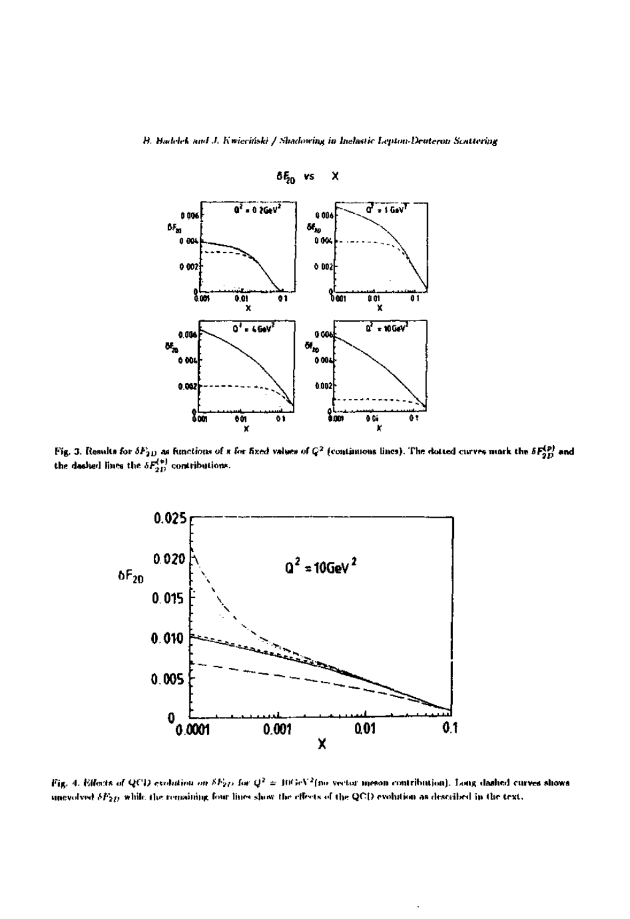

Fig. 3. Results for  $\delta F_{2D}$  as functions of x for fixed values of  $Q^2$  (continuous lines). The dotted curves mark the  $\delta F_{2D}^{(p)}$  and the dashed lines the  $\delta F_{2D}^{(p)}$  contributions.



Fig. 4. Effects of QCD evolution on  $\delta F_{2D}$  for  $Q^2 = 10 \, \text{GeV}^2$  (no vector meson contribution). Long dashed curves shows unevolved  $\delta F_{2D}$  while the remaining four lines show the effects of the QCD evolution as described in the text.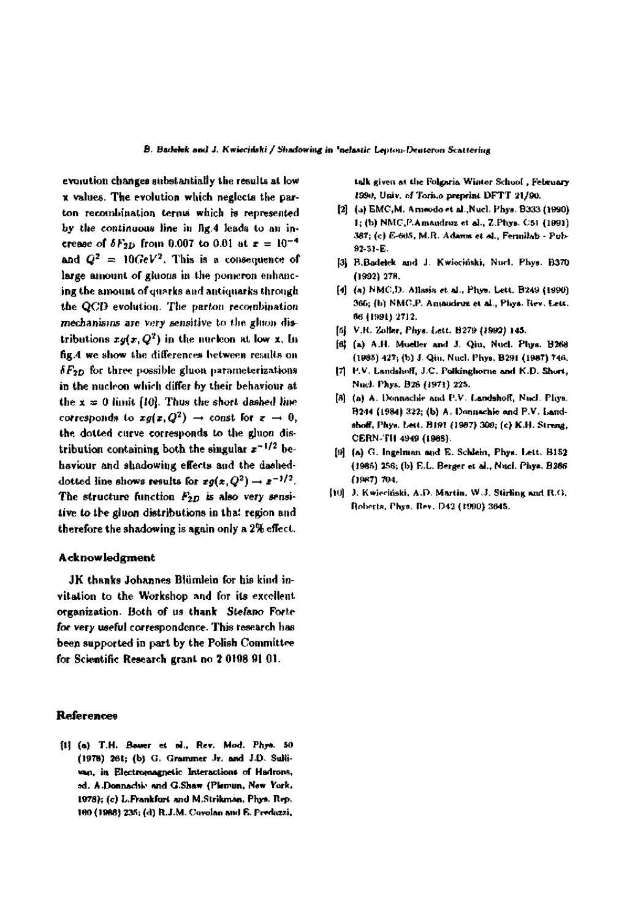evolution changes substantially the results at low **x** values. The evolution which neglects the parton recombination terms which is represented by the continuous line in fig.4 leads to an increase of  $\delta F_{2D}$  from 0.007 to 0.01 at  $x = 10^{-4}$ and  $Q^2 = 10 GeV^2$ . This is a consequence of large amount of gluons in the pomeron enhancing the amount of quarks and antiquarks through the QCD evolution. The parton recombination mechanisms are very sensitive to the gluon distributions  $xg(x,Q^2)$  in the nucleon at low x. In fig.4 we show the differences between results on  $\delta F_{2D}$  for three possible gluon parameterizations in the nucleon which differ by their behaviour at the  $x = 0$  limit [10]. Thus the short dashed line corresponds to  $xg(z,Q^2) \rightarrow$  const for  $z \rightarrow 0$ , the dotted curve corresponds to the gluon distribution containing both the singular  $z^{-1/2}$  behaviour and shadowing effects and the dasheddotted line shows results for  $xg(x,Q^2) \rightarrow x^{-1/2}$ . The structure function  $F_{2D}$  is also very sensitive to the gluon distributions in that region and therefore the shadowing is again only a 2% effect.

## **Acknowledgment**

JK thanks Johannes Blümlein for his kind invitation to the Workshop and for its excellent organization. Both of us thank Stefano Forte for very useful correspondence. This research has been supported in part by the Polish Committee for Scientific Research grant no 2 0198 91 01.

## References

[1] (a) T.H. Bouer et al., Rev. Mod. Phys. 50 (1978) 261; (b) G. Grammer Jr. and J.D. Sullivan, in Electromagnetic Interactions of Hadrons, ed. A.Donnachie and G.Shaw (Plemun, New York. 1978); (c) L.Frankfort and M.Strikman, Phys. Rep. 160 (1988) 235; (d) R.J.M. Covolan and E. Preduzzi,

talk given at the Folgaria Winter School, February 1990, Univ. of Torico preprint DFTT 21/90.

- [2] (a) EMC, M. Ameodo et al., Nucl. Phys. B333 (1990). 1; (b) NMC, P.Amsudruz et al., Z.Phys. C51 (1991) 387; (c) E-665, M.R. Adams et al., Fermilab - Pub-92-51-E.
- [3] B.Badelek and J. Kwieciński, Nurl. Phys. B370 (1992) 278.
- [4] (a) NMC,D. Allasia et al., Phys. Lett. B249 (1990) 366; (b) NMC,P. Amaudruz et al., Phys. Rev. Lett. 66 (1991) 2712.
- [5] V.R. Zoller, Phys. Lett. B279 (1992) 145.
- [6] (a) A.H. Mueller and J. Qiu, Nucl. Phys. B268 (1985) 427; (b) J. Qiu, Nucl. Phys. B291 (1987) 746.
- [7] P.V. Landshoff, J.C. Polkinghorne and K.D. Short, Nucl. Phys. B28 (1971) 225.
- [8] (a) A. Donnachie and P.V. Landshoff, Nucl. Phys. B244 (1984) 322; (b) A. Donnachie and P.V. Landshoff, Phys. Lett. B191 (1987) 309; (c) K.H. Streng, CERN-TH 4949 (1988).
- [9] (a) G. Ingelman and E. Schlein, Phys. Lett. B152 (1985) 256; (b) E.L. Berger et al., Nucl. Phys. B266 (1987) 704.
- [10] J. Kwieciński, A.D. Martin, W.J. Stirling and R.G. Roberts, Phys. Rev. D42 (1990) 3645.